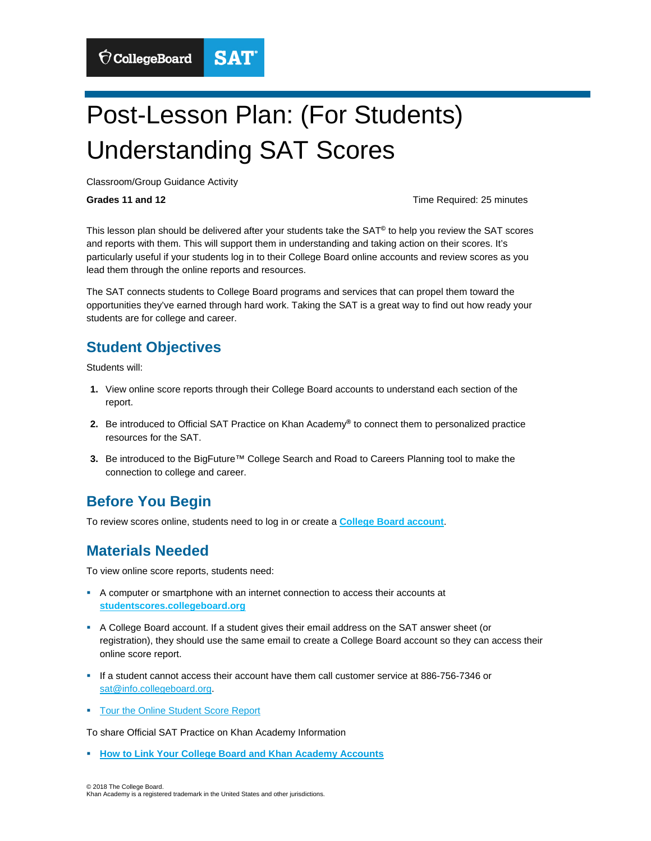# Post-Lesson Plan: (For Students) Understanding SAT Scores

**SAT** 

Classroom/Group Guidance Activity

 $\bigcirc$  CollegeBoard

Grades 11 and 12

**Grades 11 and 12** Time Required: 25 minutes

This lesson plan should be delivered after your students take the SAT**©** to help you review the SAT scores and reports with them. This will support them in understanding and taking action on their scores. It's particularly useful if your students log in to their College Board online accounts and review scores as you lead them through the online reports and resources.

 opportunities they've earned through hard work. Taking the SAT is a great way to find out how ready your The SAT connects students to College Board programs and services that can propel them toward the students are for college and career.

#### **Student Objectives**

Students will:

- **1.** View online score reports through their College Board accounts to understand each section of the report.
- **2.** Be introduced to Official SAT Practice on Khan Academy**®** to connect them to personalized practice resources for the SAT.
- **3.** Be introduced to the BigFuture™ College Search and Road to Careers Planning tool to make the connection to college and career.

## **Before You Begin**

To review scores online, students need to log in or create a **[College Board account](https://studentscores.collegeboard.org/home)**.

### **Materials Needed**

To view online score reports, students need:

- A computer or smartphone with an internet connection to access their accounts at **studentscores.collegeboard.org**
- A College Board account. If a student gives their email address on the SAT answer sheet (or registration), they should use the same email to create a College Board account so they can access their online score report.
- If a student cannot access their account have them call customer service at 886-756-7346 or sat@info.collegeboard.org.
- **Tour the Online Student Score Report**

To share Official SAT Practice on Khan Academy Information

**F** [How to Link Your College Board and Khan Academy Accounts](https://collegereadiness.collegeboard.org/pdf/steps-linking-college-board-khan-academy-accounts.pdf)